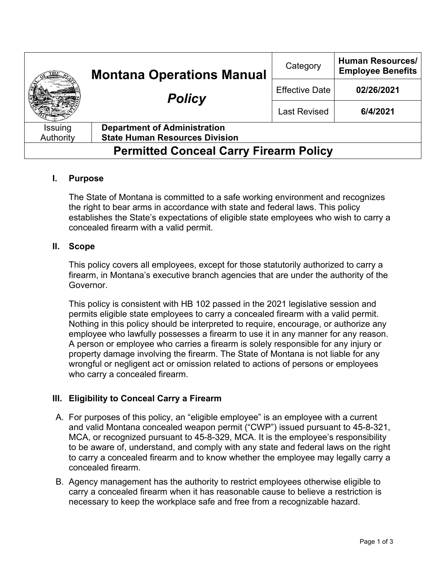|                                               | <b>Montana Operations Manual</b><br><b>Policy</b> | Category              | <b>Human Resources/</b><br><b>Employee Benefits</b> |
|-----------------------------------------------|---------------------------------------------------|-----------------------|-----------------------------------------------------|
|                                               |                                                   | <b>Effective Date</b> | 02/26/2021                                          |
|                                               |                                                   | <b>Last Revised</b>   | 6/4/2021                                            |
| Issuing                                       | <b>Department of Administration</b>               |                       |                                                     |
| Authority                                     | <b>State Human Resources Division</b>             |                       |                                                     |
| <b>Permitted Conceal Carry Firearm Policy</b> |                                                   |                       |                                                     |

# **I. Purpose**

The State of Montana is committed to a safe working environment and recognizes the right to bear arms in accordance with state and federal laws. This policy establishes the State's expectations of eligible state employees who wish to carry a concealed firearm with a valid permit.

## **II. Scope**

This policy covers all employees, except for those statutorily authorized to carry a firearm, in Montana's executive branch agencies that are under the authority of the Governor.

This policy is consistent with HB 102 passed in the 2021 legislative session and permits eligible state employees to carry a concealed firearm with a valid permit. Nothing in this policy should be interpreted to require, encourage, or authorize any employee who lawfully possesses a firearm to use it in any manner for any reason. A person or employee who carries a firearm is solely responsible for any injury or property damage involving the firearm. The State of Montana is not liable for any wrongful or negligent act or omission related to actions of persons or employees who carry a concealed firearm.

# **III. Eligibility to Conceal Carry a Firearm**

- A. For purposes of this policy, an "eligible employee" is an employee with a current and valid Montana concealed weapon permit ("CWP") issued pursuant to 45-8-321, MCA, or recognized pursuant to 45-8-329, MCA. It is the employee's responsibility to be aware of, understand, and comply with any state and federal laws on the right to carry a concealed firearm and to know whether the employee may legally carry a concealed firearm.
- B. Agency management has the authority to restrict employees otherwise eligible to carry a concealed firearm when it has reasonable cause to believe a restriction is necessary to keep the workplace safe and free from a recognizable hazard.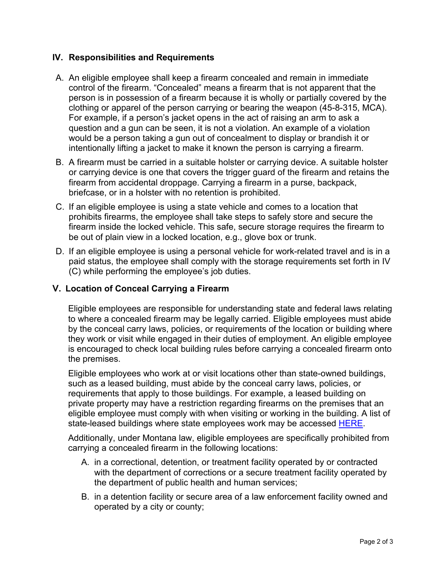# **IV. Responsibilities and Requirements**

- A. An eligible employee shall keep a firearm concealed and remain in immediate control of the firearm. "Concealed" means a firearm that is not apparent that the person is in possession of a firearm because it is wholly or partially covered by the clothing or apparel of the person carrying or bearing the weapon (45-8-315, MCA). For example, if a person's jacket opens in the act of raising an arm to ask a question and a gun can be seen, it is not a violation. An example of a violation would be a person taking a gun out of concealment to display or brandish it or intentionally lifting a jacket to make it known the person is carrying a firearm.
- B. A firearm must be carried in a suitable holster or carrying device. A suitable holster or carrying device is one that covers the trigger guard of the firearm and retains the firearm from accidental droppage. Carrying a firearm in a purse, backpack, briefcase, or in a holster with no retention is prohibited.
- C. If an eligible employee is using a state vehicle and comes to a location that prohibits firearms, the employee shall take steps to safely store and secure the firearm inside the locked vehicle. This safe, secure storage requires the firearm to be out of plain view in a locked location, e.g., glove box or trunk.
- D. If an eligible employee is using a personal vehicle for work-related travel and is in a paid status, the employee shall comply with the storage requirements set forth in IV (C) while performing the employee's job duties.

# **V. Location of Conceal Carrying a Firearm**

Eligible employees are responsible for understanding state and federal laws relating to where a concealed firearm may be legally carried. Eligible employees must abide by the conceal carry laws, policies, or requirements of the location or building where they work or visit while engaged in their duties of employment. An eligible employee is encouraged to check local building rules before carrying a concealed firearm onto the premises.

Eligible employees who work at or visit locations other than state-owned buildings, such as a leased building, must abide by the conceal carry laws, policies, or requirements that apply to those buildings. For example, a leased building on private property may have a restriction regarding firearms on the premises that an eligible employee must comply with when visiting or working in the building. A list of state-leased buildings where state employees work may be accessed **HERE**.

Additionally, under Montana law, eligible employees are specifically prohibited from carrying a concealed firearm in the following locations:

- A. in a correctional, detention, or treatment facility operated by or contracted with the department of corrections or a secure treatment facility operated by the department of public health and human services;
- B. in a detention facility or secure area of a law enforcement facility owned and operated by a city or county;